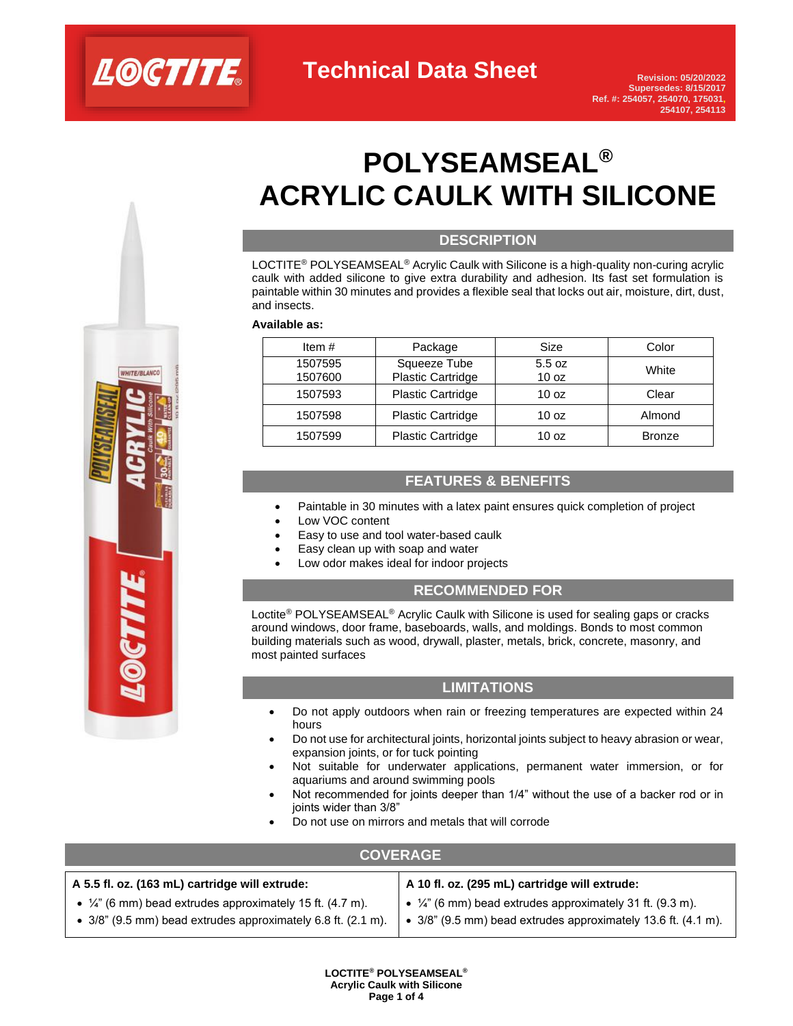

# **POLYSEAMSEAL® ACRYLIC CAULK WITH SILICONE**

### **DESCRIPTION**

LOCTITE® POLYSEAMSEAL® Acrylic Caulk with Silicone is a high-quality non-curing acrylic caulk with added silicone to give extra durability and adhesion. Its fast set formulation is paintable within 30 minutes and provides a flexible seal that locks out air, moisture, dirt, dust, and insects.

#### **Available as:**

| Item $#$           | Package                           | Size                       | Color         |
|--------------------|-----------------------------------|----------------------------|---------------|
| 1507595<br>1507600 | Squeeze Tube<br>Plastic Cartridge | 5.5 oz<br>10 <sub>oz</sub> | White         |
| 1507593            | <b>Plastic Cartridge</b>          | 10 <sub>oz</sub>           | Clear         |
| 1507598            | <b>Plastic Cartridge</b>          | 10 <sub>oz</sub>           | Almond        |
| 1507599            | <b>Plastic Cartridge</b>          | 10 <sub>oz</sub>           | <b>Bronze</b> |

### **FEATURES & BENEFITS**

- Paintable in 30 minutes with a latex paint ensures quick completion of project
- Low VOC content
- Easy to use and tool water-based caulk
- Easy clean up with soap and water
- Low odor makes ideal for indoor projects

### **RECOMMENDED FOR**

Loctite<sup>®</sup> POLYSEAMSEAL<sup>®</sup> Acrylic Caulk with Silicone is used for sealing gaps or cracks around windows, door frame, baseboards, walls, and moldings. Bonds to most common building materials such as wood, drywall, plaster, metals, brick, concrete, masonry, and most painted surfaces

### **LIMITATIONS**

- Do not apply outdoors when rain or freezing temperatures are expected within 24 hours
- Do not use for architectural joints, horizontal joints subject to heavy abrasion or wear, expansion joints, or for tuck pointing
- Not suitable for underwater applications, permanent water immersion, or for aquariums and around swimming pools
- Not recommended for joints deeper than 1/4" without the use of a backer rod or in joints wider than 3/8"
- Do not use on mirrors and metals that will corrode

### **COVERAGE**

| A 5.5 fl. oz. (163 mL) cartridge will extrude:                                                                                        | $\vert$ A 10 fl. oz. (295 mL) cartridge will extrude:             |  |  |
|---------------------------------------------------------------------------------------------------------------------------------------|-------------------------------------------------------------------|--|--|
| • $\frac{1}{4}$ " (6 mm) bead extrudes approximately 15 ft. (4.7 m).                                                                  | $\bullet$ 1/4" (6 mm) bead extrudes approximately 31 ft. (9.3 m). |  |  |
| • $3/8$ " (9.5 mm) bead extrudes approximately 6.8 ft. (2.1 m). $\bullet$ 3/8" (9.5 mm) bead extrudes approximately 13.6 ft. (4.1 m). |                                                                   |  |  |

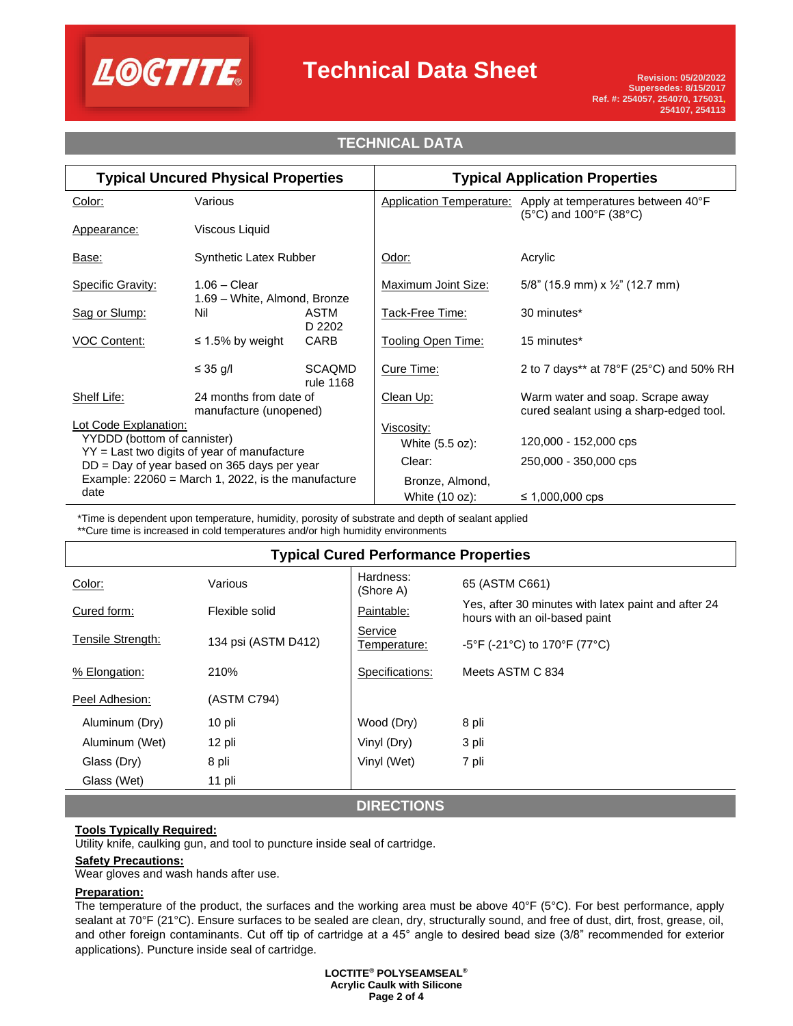

# **Technical Data Sheet**

# **TECHNICAL DATA**

| <b>Typical Uncured Physical Properties</b>                                                                                                                                                                             |                                                  |                            | <b>Typical Application Properties</b> |                                                                                                                     |
|------------------------------------------------------------------------------------------------------------------------------------------------------------------------------------------------------------------------|--------------------------------------------------|----------------------------|---------------------------------------|---------------------------------------------------------------------------------------------------------------------|
| Color:                                                                                                                                                                                                                 | Various                                          |                            |                                       | Application Temperature: Apply at temperatures between 40°F<br>$(5^{\circ}C)$ and 100 $^{\circ}F$ (38 $^{\circ}C$ ) |
| Appearance:                                                                                                                                                                                                            | Viscous Liquid                                   |                            |                                       |                                                                                                                     |
| Base:                                                                                                                                                                                                                  | <b>Synthetic Latex Rubber</b>                    |                            | Odor:                                 | Acrylic                                                                                                             |
| Specific Gravity:                                                                                                                                                                                                      | $1.06 - Clear$<br>1.69 - White, Almond, Bronze   |                            | <b>Maximum Joint Size:</b>            | 5/8" (15.9 mm) x $\frac{1}{2}$ " (12.7 mm)                                                                          |
| Sag or Slump:                                                                                                                                                                                                          | Nil                                              | <b>ASTM</b><br>D 2202      | Tack-Free Time:                       | 30 minutes*                                                                                                         |
| <b>VOC Content:</b>                                                                                                                                                                                                    | $\leq$ 1.5% by weight                            | CARB                       | <b>Tooling Open Time:</b>             | 15 minutes*                                                                                                         |
|                                                                                                                                                                                                                        | ≤ 35 g/l                                         | <b>SCAQMD</b><br>rule 1168 | Cure Time:                            | 2 to 7 days** at 78°F (25°C) and 50% RH                                                                             |
| Shelf Life:                                                                                                                                                                                                            | 24 months from date of<br>manufacture (unopened) |                            | Clean Up:                             | Warm water and soap. Scrape away<br>cured sealant using a sharp-edged tool.                                         |
| Lot Code Explanation:<br>YYDDD (bottom of cannister)<br>$YY =$ Last two digits of year of manufacture<br>$DD = Day$ of year based on 365 days per year<br>Example: $22060$ = March 1, 2022, is the manufacture<br>date |                                                  | Viscosity:                 |                                       |                                                                                                                     |
|                                                                                                                                                                                                                        |                                                  | White (5.5 oz):            | 120,000 - 152,000 cps                 |                                                                                                                     |
|                                                                                                                                                                                                                        |                                                  | Clear:                     | 250,000 - 350,000 cps                 |                                                                                                                     |
|                                                                                                                                                                                                                        |                                                  | Bronze, Almond,            |                                       |                                                                                                                     |
|                                                                                                                                                                                                                        |                                                  | White (10 oz):             | ≤ 1,000,000 cps                       |                                                                                                                     |

\*Time is dependent upon temperature, humidity, porosity of substrate and depth of sealant applied \*\*Cure time is increased in cold temperatures and/or high humidity environments

# **Typical Cured Performance Properties**

| Color:            | Various             | Hardness:<br>(Shore A)  | 65 (ASTM C661)                                                                       |
|-------------------|---------------------|-------------------------|--------------------------------------------------------------------------------------|
| Cured form:       | Flexible solid      | Paintable:              | Yes, after 30 minutes with latex paint and after 24<br>hours with an oil-based paint |
| Tensile Strength: | 134 psi (ASTM D412) | Service<br>Temperature: | $-5^{\circ}$ F (-21 $^{\circ}$ C) to 170 $^{\circ}$ F (77 $^{\circ}$ C)              |
| % Elongation:     | 210%                | Specifications:         | Meets ASTM C 834                                                                     |
| Peel Adhesion:    | (ASTM C794)         |                         |                                                                                      |
| Aluminum (Dry)    | 10 pli              | Wood (Dry)              | 8 pli                                                                                |
| Aluminum (Wet)    | 12 pli              | Vinyl (Dry)             | 3 pli                                                                                |
| Glass (Dry)       | 8 pli               | Vinyl (Wet)             | 7 pli                                                                                |
| Glass (Wet)       | 11 pli              |                         |                                                                                      |
|                   |                     | <b>BIBEATIALIA</b>      |                                                                                      |

**DIRECTIONS**

### **Tools Typically Required:**

Utility knife, caulking gun, and tool to puncture inside seal of cartridge.

### **Safety Precautions:**

Wear gloves and wash hands after use.

### **Preparation:**

The temperature of the product, the surfaces and the working area must be above 40°F (5°C). For best performance, apply sealant at 70°F (21°C). Ensure surfaces to be sealed are clean, dry, structurally sound, and free of dust, dirt, frost, grease, oil, and other foreign contaminants. Cut off tip of cartridge at a 45° angle to desired bead size (3/8" recommended for exterior applications). Puncture inside seal of cartridge.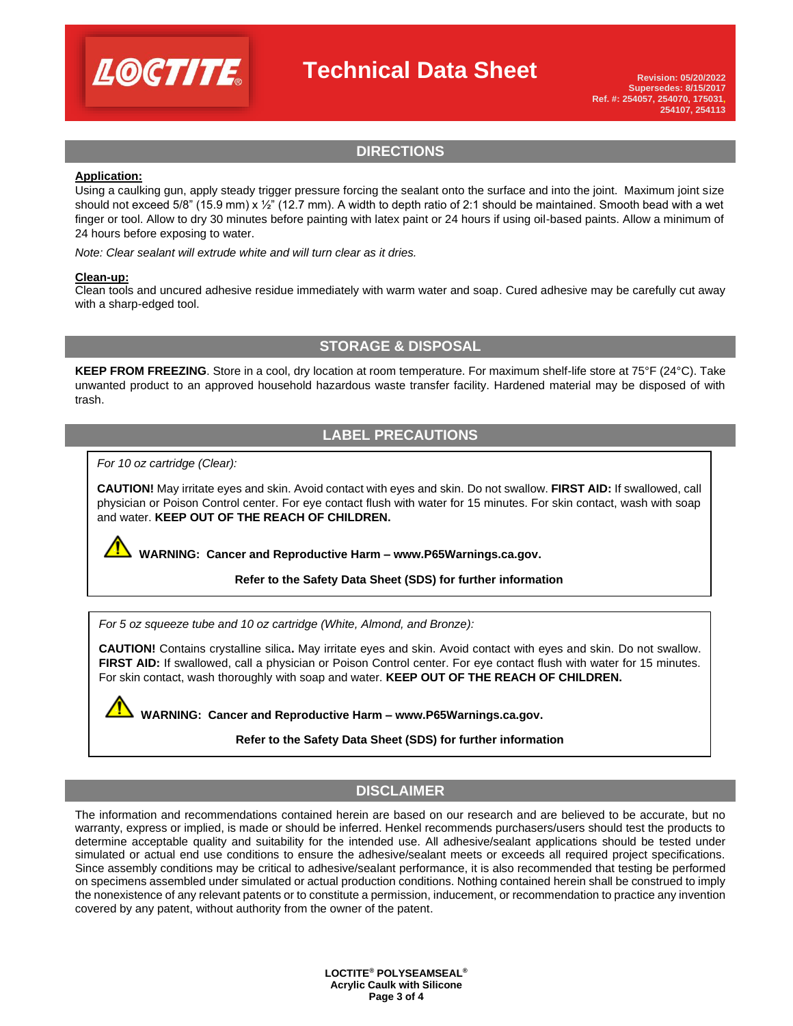

# **Technical Data Sheet**

### **DIRECTIONS**

### **Application:**

Using a caulking gun, apply steady trigger pressure forcing the sealant onto the surface and into the joint. Maximum joint size should not exceed 5/8" (15.9 mm) x  $\frac{1}{2}$ " (12.7 mm). A width to depth ratio of 2:1 should be maintained. Smooth bead with a wet finger or tool. Allow to dry 30 minutes before painting with latex paint or 24 hours if using oil-based paints. Allow a minimum of 24 hours before exposing to water.

*Note: Clear sealant will extrude white and will turn clear as it dries.*

#### **Clean-up:**

Clean tools and uncured adhesive residue immediately with warm water and soap. Cured adhesive may be carefully cut away with a sharp-edged tool.

### **STORAGE & DISPOSAL**

**KEEP FROM FREEZING**. Store in a cool, dry location at room temperature. For maximum shelf-life store at 75°F (24°C). Take unwanted product to an approved household hazardous waste transfer facility. Hardened material may be disposed of with trash.

## **LABEL PRECAUTIONS**

*For 10 oz cartridge (Clear):* 

**CAUTION!** May irritate eyes and skin. Avoid contact with eyes and skin. Do not swallow. **FIRST AID:** If swallowed, call physician or Poison Control center. For eye contact flush with water for 15 minutes. For skin contact, wash with soap and water. **KEEP OUT OF THE REACH OF CHILDREN.**

**WARNING: Cancer and Reproductive Harm – www.P65Warnings.ca.gov.** 

### **Refer to the Safety Data Sheet (SDS) for further information**

*For 5 oz squeeze tube and 10 oz cartridge (White, Almond, and Bronze):* 

**CAUTION!** Contains crystalline silica**.** May irritate eyes and skin. Avoid contact with eyes and skin. Do not swallow. **FIRST AID:** If swallowed, call a physician or Poison Control center. For eye contact flush with water for 15 minutes. For skin contact, wash thoroughly with soap and water. **KEEP OUT OF THE REACH OF CHILDREN.**

**WARNING: Cancer and Reproductive Harm – www.P65Warnings.ca.gov.** 

**Refer to the Safety Data Sheet (SDS) for further information**

### **DISCLAIMER**

The information and recommendations contained herein are based on our research and are believed to be accurate, but no warranty, express or implied, is made or should be inferred. Henkel recommends purchasers/users should test the products to determine acceptable quality and suitability for the intended use. All adhesive/sealant applications should be tested under simulated or actual end use conditions to ensure the adhesive/sealant meets or exceeds all required project specifications. Since assembly conditions may be critical to adhesive/sealant performance, it is also recommended that testing be performed on specimens assembled under simulated or actual production conditions. Nothing contained herein shall be construed to imply the nonexistence of any relevant patents or to constitute a permission, inducement, or recommendation to practice any invention covered by any patent, without authority from the owner of the patent.

> **LOCTITE® POLYSEAMSEAL® Acrylic Caulk with Silicone Page 3 of 4**